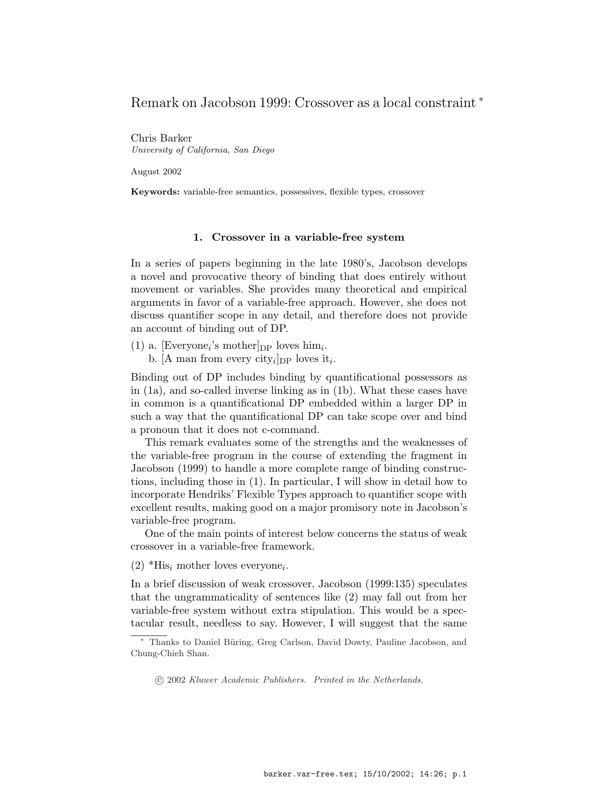# Remark on Jacobson 1999: Crossover as a local constraint <sup>∗</sup>

Chris Barker University of California, San Diego

August 2002

Keywords: variable-free semantics, possessives, flexible types, crossover

### 1. Crossover in a variable-free system

In a series of papers beginning in the late 1980's, Jacobson develops a novel and provocative theory of binding that does entirely without movement or variables. She provides many theoretical and empirical arguments in favor of a variable-free approach. However, she does not discuss quantifier scope in any detail, and therefore does not provide an account of binding out of DP.

(1) a. [Everyone<sub>i</sub>'s mother]<sub>DP</sub> loves him<sub>i</sub>. b. [A man from every city<sub>i</sub>]<sub>DP</sub> loves it<sub>i</sub>.

Binding out of DP includes binding by quantificational possessors as in (1a), and so-called inverse linking as in (1b). What these cases have in common is a quantificational DP embedded within a larger DP in such a way that the quantificational DP can take scope over and bind a pronoun that it does not c-command.

This remark evaluates some of the strengths and the weaknesses of the variable-free program in the course of extending the fragment in Jacobson (1999) to handle a more complete range of binding constructions, including those in (1). In particular, I will show in detail how to incorporate Hendriks' Flexible Types approach to quantifier scope with excellent results, making good on a major promisory note in Jacobson's variable-free program.

One of the main points of interest below concerns the status of weak crossover in a variable-free framework.

 $(2)$  \*His<sub>i</sub> mother loves everyone<sub>i</sub>.

In a brief discussion of weak crossover, Jacobson (1999:135) speculates that the ungrammaticality of sentences like (2) may fall out from her variable-free system without extra stipulation. This would be a spectacular result, needless to say. However, I will suggest that the same

Thanks to Daniel Büring, Greg Carlson, David Dowty, Pauline Jacobson, and Chung-Chieh Shan.

<sup>°</sup>c 2002 Kluwer Academic Publishers. Printed in the Netherlands.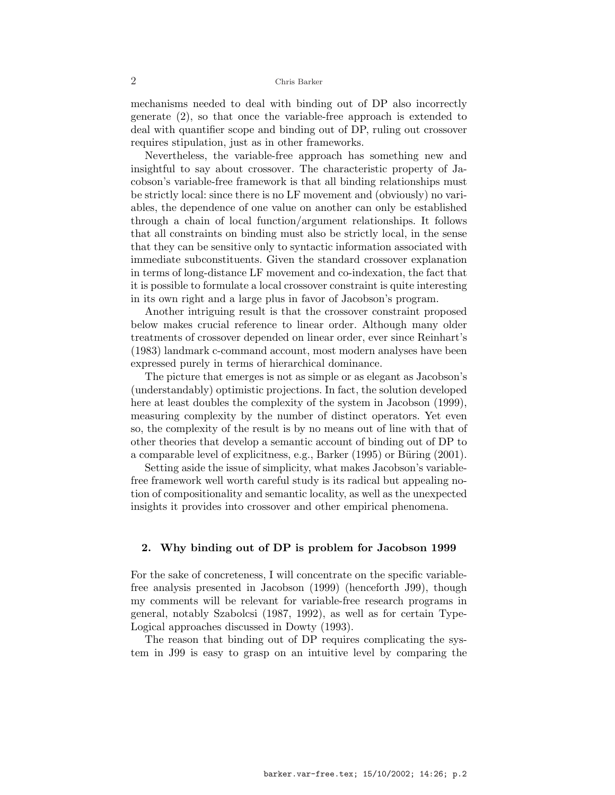mechanisms needed to deal with binding out of DP also incorrectly generate (2), so that once the variable-free approach is extended to deal with quantifier scope and binding out of DP, ruling out crossover requires stipulation, just as in other frameworks.

Nevertheless, the variable-free approach has something new and insightful to say about crossover. The characteristic property of Jacobson's variable-free framework is that all binding relationships must be strictly local: since there is no LF movement and (obviously) no variables, the dependence of one value on another can only be established through a chain of local function/argument relationships. It follows that all constraints on binding must also be strictly local, in the sense that they can be sensitive only to syntactic information associated with immediate subconstituents. Given the standard crossover explanation in terms of long-distance LF movement and co-indexation, the fact that it is possible to formulate a local crossover constraint is quite interesting in its own right and a large plus in favor of Jacobson's program.

Another intriguing result is that the crossover constraint proposed below makes crucial reference to linear order. Although many older treatments of crossover depended on linear order, ever since Reinhart's (1983) landmark c-command account, most modern analyses have been expressed purely in terms of hierarchical dominance.

The picture that emerges is not as simple or as elegant as Jacobson's (understandably) optimistic projections. In fact, the solution developed here at least doubles the complexity of the system in Jacobson  $(1999)$ , measuring complexity by the number of distinct operators. Yet even so, the complexity of the result is by no means out of line with that of other theories that develop a semantic account of binding out of DP to a comparable level of explicitness, e.g., Barker  $(1995)$  or Büring  $(2001)$ .

Setting aside the issue of simplicity, what makes Jacobson's variablefree framework well worth careful study is its radical but appealing notion of compositionality and semantic locality, as well as the unexpected insights it provides into crossover and other empirical phenomena.

#### 2. Why binding out of DP is problem for Jacobson 1999

For the sake of concreteness, I will concentrate on the specific variablefree analysis presented in Jacobson (1999) (henceforth J99), though my comments will be relevant for variable-free research programs in general, notably Szabolcsi (1987, 1992), as well as for certain Type-Logical approaches discussed in Dowty (1993).

The reason that binding out of DP requires complicating the system in J99 is easy to grasp on an intuitive level by comparing the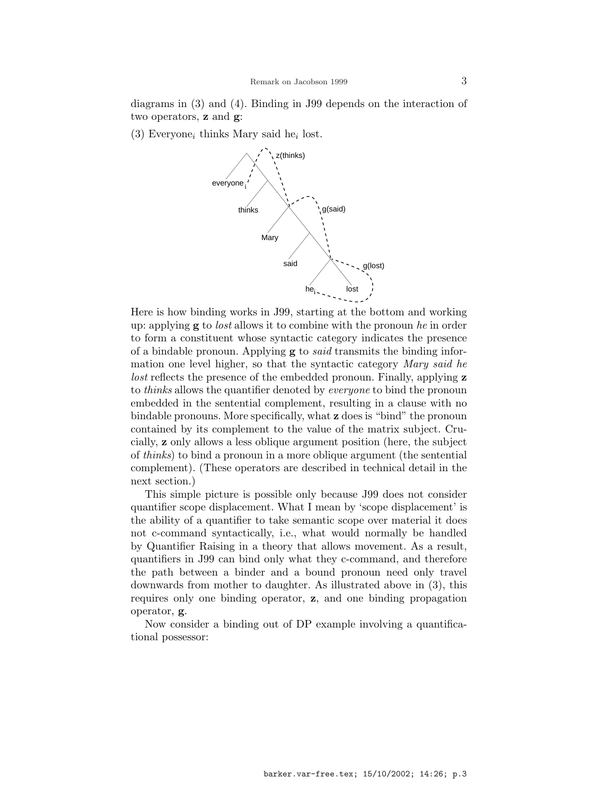diagrams in (3) and (4). Binding in J99 depends on the interaction of two operators, z and g:

 $(3)$  Everyone<sub>i</sub> thinks Mary said he<sub>i</sub> lost.



Here is how binding works in J99, starting at the bottom and working up: applying  $g$  to *lost* allows it to combine with the pronoun he in order to form a constituent whose syntactic category indicates the presence of a bindable pronoun. Applying  $g$  to *said* transmits the binding information one level higher, so that the syntactic category Mary said he lost reflects the presence of the embedded pronoun. Finally, applying z to *thinks* allows the quantifier denoted by *everyone* to bind the pronoun embedded in the sentential complement, resulting in a clause with no bindable pronouns. More specifically, what z does is "bind" the pronoun contained by its complement to the value of the matrix subject. Crucially, z only allows a less oblique argument position (here, the subject of thinks) to bind a pronoun in a more oblique argument (the sentential complement). (These operators are described in technical detail in the next section.)

This simple picture is possible only because J99 does not consider quantifier scope displacement. What I mean by 'scope displacement' is the ability of a quantifier to take semantic scope over material it does not c-command syntactically, i.e., what would normally be handled by Quantifier Raising in a theory that allows movement. As a result, quantifiers in J99 can bind only what they c-command, and therefore the path between a binder and a bound pronoun need only travel downwards from mother to daughter. As illustrated above in (3), this requires only one binding operator, z, and one binding propagation operator, g.

Now consider a binding out of DP example involving a quantificational possessor: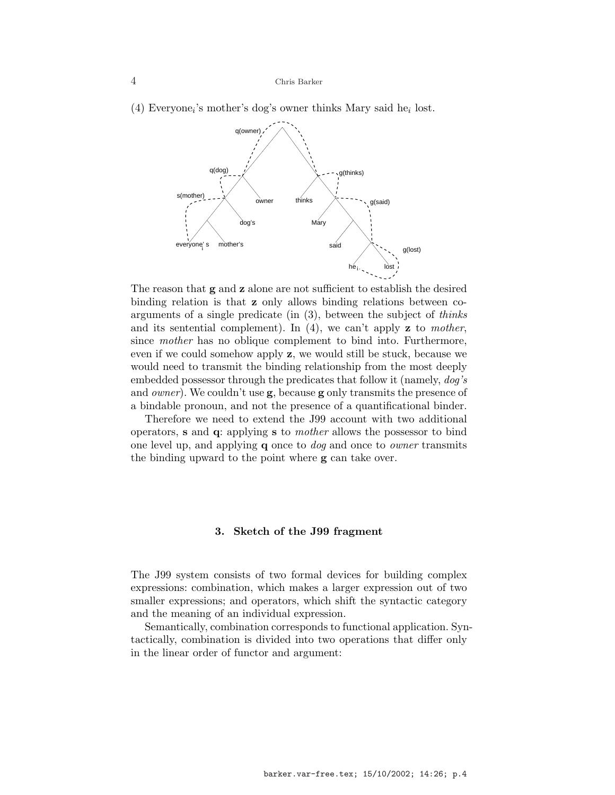(4) Everyone<sub>i</sub>'s mother's dog's owner thinks Mary said he<sub>i</sub> lost.



The reason that **g** and **z** alone are not sufficient to establish the desired binding relation is that z only allows binding relations between coarguments of a single predicate (in (3), between the subject of thinks and its sentential complement). In  $(4)$ , we can't apply **z** to mother, since mother has no oblique complement to bind into. Furthermore, even if we could somehow apply z, we would still be stuck, because we would need to transmit the binding relationship from the most deeply embedded possessor through the predicates that follow it (namely,  $d\sigma s$ ) and *owner*). We couldn't use  $g$ , because  $g$  only transmits the presence of a bindable pronoun, and not the presence of a quantificational binder.

Therefore we need to extend the J99 account with two additional operators, s and q: applying s to mother allows the possessor to bind one level up, and applying **q** once to *dog* and once to *owner* transmits the binding upward to the point where g can take over.

#### 3. Sketch of the J99 fragment

The J99 system consists of two formal devices for building complex expressions: combination, which makes a larger expression out of two smaller expressions; and operators, which shift the syntactic category and the meaning of an individual expression.

Semantically, combination corresponds to functional application. Syntactically, combination is divided into two operations that differ only in the linear order of functor and argument: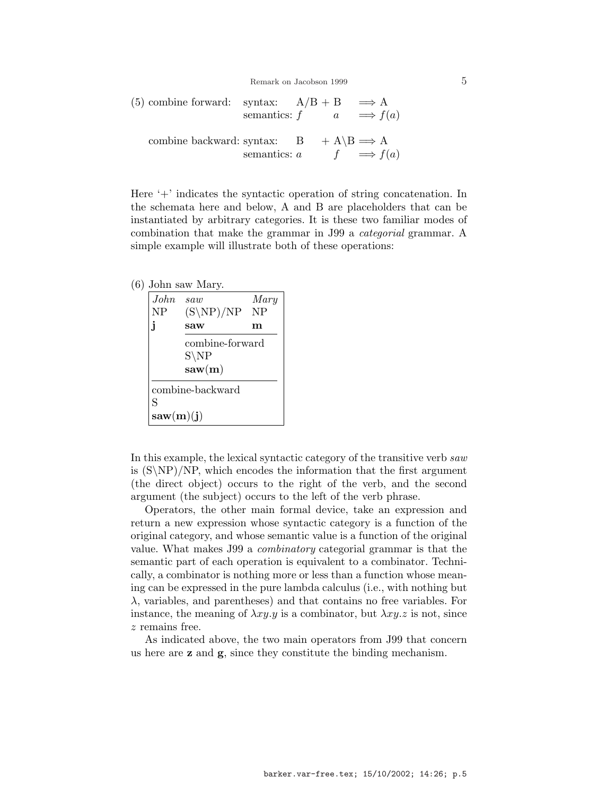Remark on Jacobson 1999 5

(5) combine forward: syntax: 
$$
A/B + B \implies A
$$
  
semantics:  $f$   $a \implies f(a)$   
combine backward: syntax:  $B + A \setminus B \implies A$   
semantics:  $a$   $f \implies f(a)$ 

Here '+' indicates the syntactic operation of string concatenation. In the schemata here and below, A and B are placeholders that can be instantiated by arbitrary categories. It is these two familiar modes of combination that make the grammar in J99 a categorial grammar. A simple example will illustrate both of these operations:

### (6) John saw Mary.

| John<br><b>NP</b> | saw<br>$(S\NP)/NP$<br>saw                     | Mary<br>$\rm NP$<br>m |
|-------------------|-----------------------------------------------|-----------------------|
|                   | combine-forward<br>$S\backslash NP$<br>saw(m) |                       |
| S<br>saw(m)(j)    | combine-backward                              |                       |

In this example, the lexical syntactic category of the transitive verb saw is  $(S\N)$ /NP, which encodes the information that the first argument (the direct object) occurs to the right of the verb, and the second argument (the subject) occurs to the left of the verb phrase.

Operators, the other main formal device, take an expression and return a new expression whose syntactic category is a function of the original category, and whose semantic value is a function of the original value. What makes J99 a combinatory categorial grammar is that the semantic part of each operation is equivalent to a combinator. Technically, a combinator is nothing more or less than a function whose meaning can be expressed in the pure lambda calculus (i.e., with nothing but  $\lambda$ , variables, and parentheses) and that contains no free variables. For instance, the meaning of  $\lambda xy.y$  is a combinator, but  $\lambda xy.z$  is not, since z remains free.

As indicated above, the two main operators from J99 that concern us here are z and g, since they constitute the binding mechanism.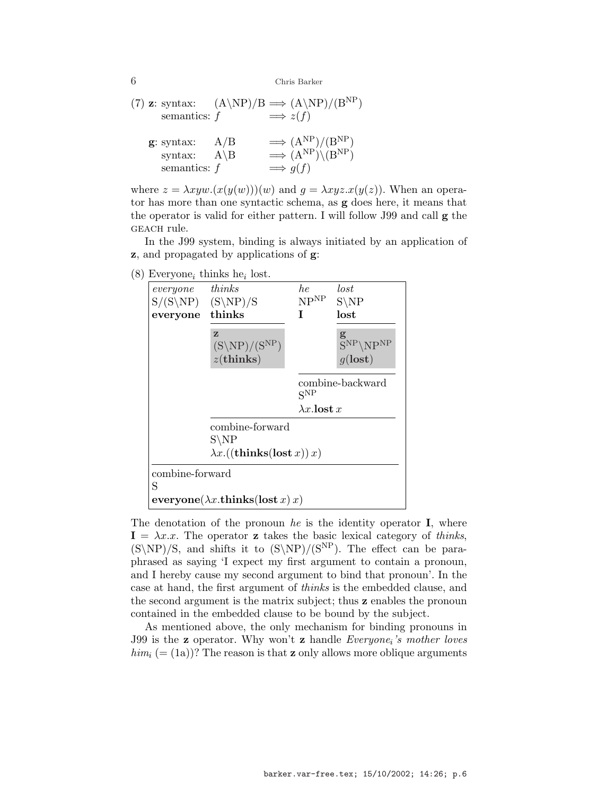(7) **z**: syntax: 
$$
(A \backslash NP)/B \implies (A \backslash NP)/(B^{NP})
$$
  
\nsemantics:  $f \implies z(f)$   
\n**g**: syntax:  $A/B \implies (A^{NP})/(B^{NP})$   
\nsyntax:  $A \backslash B \implies (A^{NP}) \backslash (B^{NP})$   
\nsemantics:  $f \implies g(f)$ 

where  $z = \lambda xyw.(x(y(w)))(w)$  and  $q = \lambda xyz.x(y(z))$ . When an operator has more than one syntactic schema, as g does here, it means that the operator is valid for either pattern. I will follow J99 and call g the geach rule.

In the J99 system, binding is always initiated by an application of z, and propagated by applications of g:





The denotation of the pronoun he is the identity operator  $I$ , where  $I = \lambda x.x$ . The operator z takes the basic lexical category of thinks,  $(S\NP)/S$ , and shifts it to  $(S\NP)/(S^{NP})$ . The effect can be paraphrased as saying 'I expect my first argument to contain a pronoun, and I hereby cause my second argument to bind that pronoun'. In the case at hand, the first argument of thinks is the embedded clause, and the second argument is the matrix subject; thus z enables the pronoun contained in the embedded clause to be bound by the subject.

As mentioned above, the only mechanism for binding pronouns in J99 is the  $z$  operator. Why won't  $z$  handle *Everyone<sub>i</sub>'s mother loves*  $him_i (= (1a))$ ? The reason is that **z** only allows more oblique arguments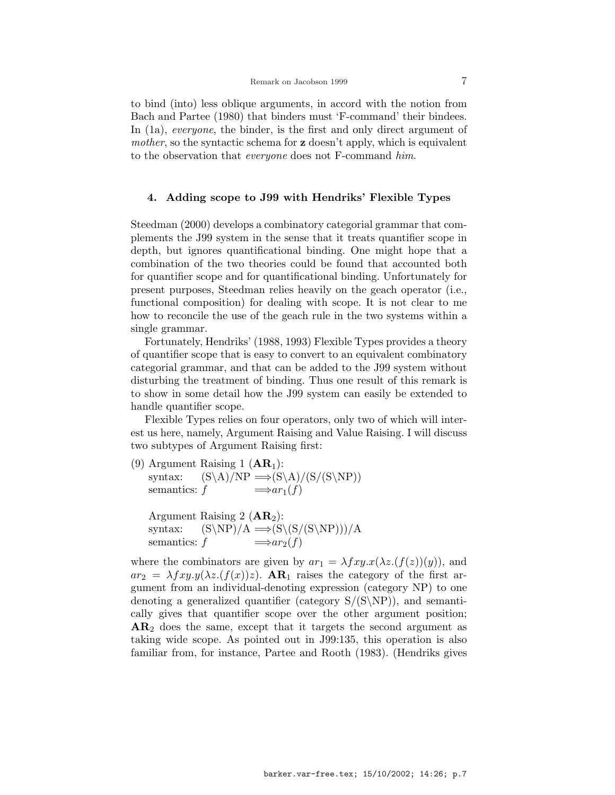to bind (into) less oblique arguments, in accord with the notion from Bach and Partee (1980) that binders must 'F-command' their bindees. In (1a), *everyone*, the binder, is the first and only direct argument of mother, so the syntactic schema for **z** doesn't apply, which is equivalent to the observation that *everyone* does not F-command him.

### 4. Adding scope to J99 with Hendriks' Flexible Types

Steedman (2000) develops a combinatory categorial grammar that complements the J99 system in the sense that it treats quantifier scope in depth, but ignores quantificational binding. One might hope that a combination of the two theories could be found that accounted both for quantifier scope and for quantificational binding. Unfortunately for present purposes, Steedman relies heavily on the geach operator (i.e., functional composition) for dealing with scope. It is not clear to me how to reconcile the use of the geach rule in the two systems within a single grammar.

Fortunately, Hendriks' (1988, 1993) Flexible Types provides a theory of quantifier scope that is easy to convert to an equivalent combinatory categorial grammar, and that can be added to the J99 system without disturbing the treatment of binding. Thus one result of this remark is to show in some detail how the J99 system can easily be extended to handle quantifier scope.

Flexible Types relies on four operators, only two of which will interest us here, namely, Argument Raising and Value Raising. I will discuss two subtypes of Argument Raising first:

- (9) Argument Raising 1  $(AR<sub>1</sub>)$ : syntax:  $(S\A)/NP \implies (S\A)/(S/(S\NP))$ semantics:  $f \longrightarrow ar_1(f)$ 
	- Argument Raising 2  $(AR_2)$ : syntax:  $(S\NP)/A \implies (S\(S/(S\NP)))/A$ semantics:  $f \longrightarrow ar_2(f)$

where the combinators are given by  $ar_1 = \lambda fxy \cdot x(\lambda z \cdot (f(z))(y))$ , and  $ar_2 = \lambda fxy.y(\lambda z.(f(x))z)$ .  $AR_1$  raises the category of the first argument from an individual-denoting expression (category NP) to one denoting a generalized quantifier (category  $S/(S\ N)$ ), and semantically gives that quantifier scope over the other argument position;  $AR<sub>2</sub>$  does the same, except that it targets the second argument as taking wide scope. As pointed out in J99:135, this operation is also familiar from, for instance, Partee and Rooth (1983). (Hendriks gives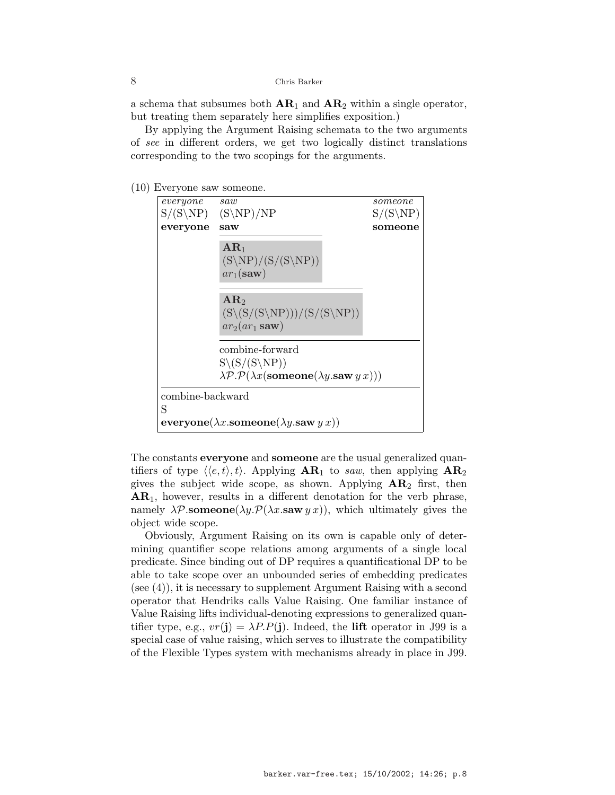a schema that subsumes both  $AR_1$  and  $AR_2$  within a single operator, but treating them separately here simplifies exposition.)

By applying the Argument Raising schemata to the two arguments of see in different orders, we get two logically distinct translations corresponding to the two scopings for the arguments.

(10) Everyone saw someone.



The constants **everyone** and **someone** are the usual generalized quantifiers of type  $\langle \langle e, t \rangle, t \rangle$ . Applying  $AR_1$  to saw, then applying  $AR_2$ gives the subject wide scope, as shown. Applying  $AR_2$  first, then  $AR<sub>1</sub>$ , however, results in a different denotation for the verb phrase, namely  $\lambda \mathcal{P}$ .someone( $\lambda y \cdot \mathcal{P}(\lambda x \cdot s$ aw  $y \cdot x$ )), which ultimately gives the object wide scope.

Obviously, Argument Raising on its own is capable only of determining quantifier scope relations among arguments of a single local predicate. Since binding out of DP requires a quantificational DP to be able to take scope over an unbounded series of embedding predicates (see (4)), it is necessary to supplement Argument Raising with a second operator that Hendriks calls Value Raising. One familiar instance of Value Raising lifts individual-denoting expressions to generalized quantifier type, e.g.,  $vr(j) = \lambda P.P(j)$ . Indeed, the lift operator in J99 is a special case of value raising, which serves to illustrate the compatibility of the Flexible Types system with mechanisms already in place in J99.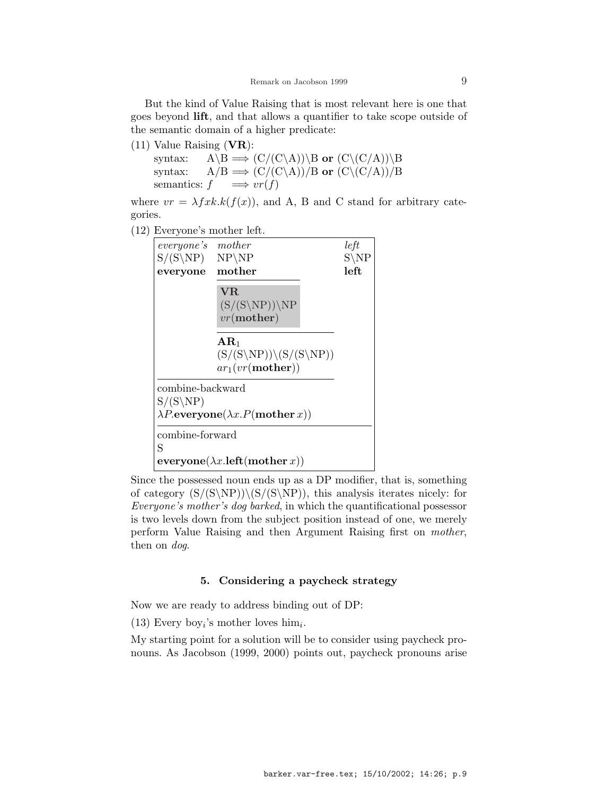But the kind of Value Raising that is most relevant here is one that goes beyond lift, and that allows a quantifier to take scope outside of the semantic domain of a higher predicate:

 $(11)$  Value Raising (VR): syntax:  $A \setminus B \Longrightarrow (C/(C \setminus A)) \setminus B$  or  $(C \setminus (C/A)) \setminus B$ syntax:  $A/B \implies (C/(C\setminus A))/B$  or  $(C\setminus (C/A))/B$ semantics:  $f \implies vr(f)$ 

where  $vr = \lambda f x k.k(f(x))$ , and A, B and C stand for arbitrary categories.

(12) Everyone's mother left.



Since the possessed noun ends up as a DP modifier, that is, something of category  $(S/(S\ NP))\ (S/(S\ NP))$ , this analysis iterates nicely: for Everyone's mother's dog barked, in which the quantificational possessor is two levels down from the subject position instead of one, we merely perform Value Raising and then Argument Raising first on mother, then on *dog*.

## 5. Considering a paycheck strategy

Now we are ready to address binding out of DP:

(13) Every boy<sub>i</sub>'s mother loves him<sub>i</sub>.

My starting point for a solution will be to consider using paycheck pronouns. As Jacobson (1999, 2000) points out, paycheck pronouns arise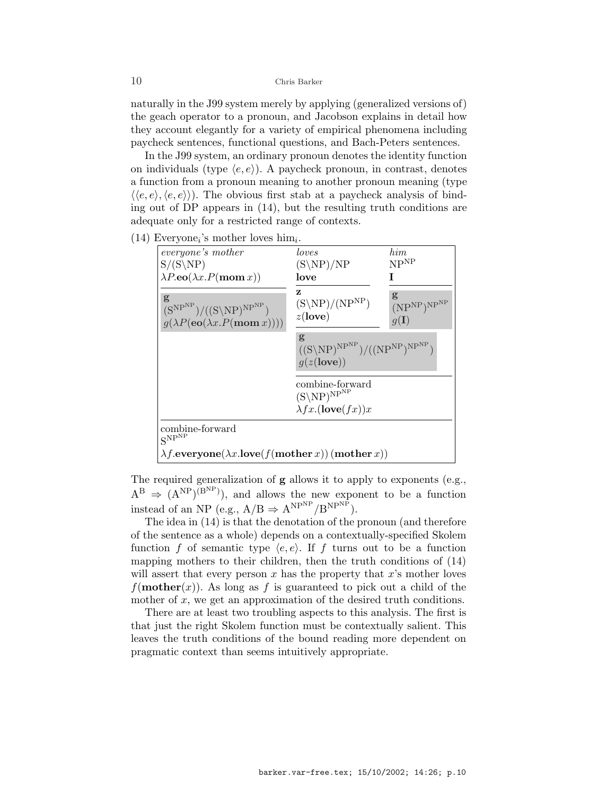naturally in the J99 system merely by applying (generalized versions of) the geach operator to a pronoun, and Jacobson explains in detail how they account elegantly for a variety of empirical phenomena including paycheck sentences, functional questions, and Bach-Peters sentences.

In the J99 system, an ordinary pronoun denotes the identity function on individuals (type  $\langle e, e \rangle$ ). A paycheck pronoun, in contrast, denotes a function from a pronoun meaning to another pronoun meaning (type  $\langle \langle e, e \rangle, \langle e, e \rangle \rangle$ . The obvious first stab at a paycheck analysis of binding out of DP appears in (14), but the resulting truth conditions are adequate only for a restricted range of contexts.

 $(14)$  Everyone<sub>i</sub>'s mother loves him<sub>i</sub>.

| everyone's mother                                                                                   | loves                                                                             | $_{him}$                                                                           |
|-----------------------------------------------------------------------------------------------------|-----------------------------------------------------------------------------------|------------------------------------------------------------------------------------|
| $S/(S\backslash NP)$                                                                                | $(S\NP)/NP$                                                                       | NP <sup>NP</sup>                                                                   |
| $\lambda P.\mathbf{eo}(\lambda x.P(\mathbf{mom}\,x))$                                               | love                                                                              |                                                                                    |
| g<br>$(S^{NP^{NP}})/(S\NP)^{NP^{NP}})$<br>$g(\lambda P(\mathbf{eo}(\lambda x.P(\mathbf{mom } x))))$ | z<br>$(S\backslash NP)/(NP^{NP})$<br>$z(\text{love})$                             | g<br>(NP <sup>NP</sup> ) <sup>NP<sup>NP</sup><br/><math>g(\mathbf{I})</math></sup> |
|                                                                                                     | g<br>$((S\backslash NP)^{NP^{NP}})/( (NP^{NP})^{NP^{NP}})$<br>g(z( <b>love</b> )) |                                                                                    |
|                                                                                                     | combine-forward<br>$(S\backslash NP)^{NP^{NP}}$<br>$\lambda fx.$ (love $(fx)x$    |                                                                                    |
| combine-forward<br>$S^{NP^{NP}}$                                                                    |                                                                                   |                                                                                    |
| $\lambda f$ .everyone( $\lambda x$ .love( $f$ (mother x))(mother x))                                |                                                                                   |                                                                                    |

The required generalization of g allows it to apply to exponents (e.g.,  $A^B \Rightarrow (A^{NP})(B^{NP})$ , and allows the new exponent to be a function instead of an NP (e.g.,  $A/B \Rightarrow A^{NPNP}/B^{NPNP}$ ).

The idea in (14) is that the denotation of the pronoun (and therefore of the sentence as a whole) depends on a contextually-specified Skolem function f of semantic type  $\langle e, e \rangle$ . If f turns out to be a function mapping mothers to their children, then the truth conditions of (14) will assert that every person  $x$  has the property that  $x$ 's mother loves  $f(\textbf{mother}(x))$ . As long as f is guaranteed to pick out a child of the mother of  $x$ , we get an approximation of the desired truth conditions.

There are at least two troubling aspects to this analysis. The first is that just the right Skolem function must be contextually salient. This leaves the truth conditions of the bound reading more dependent on pragmatic context than seems intuitively appropriate.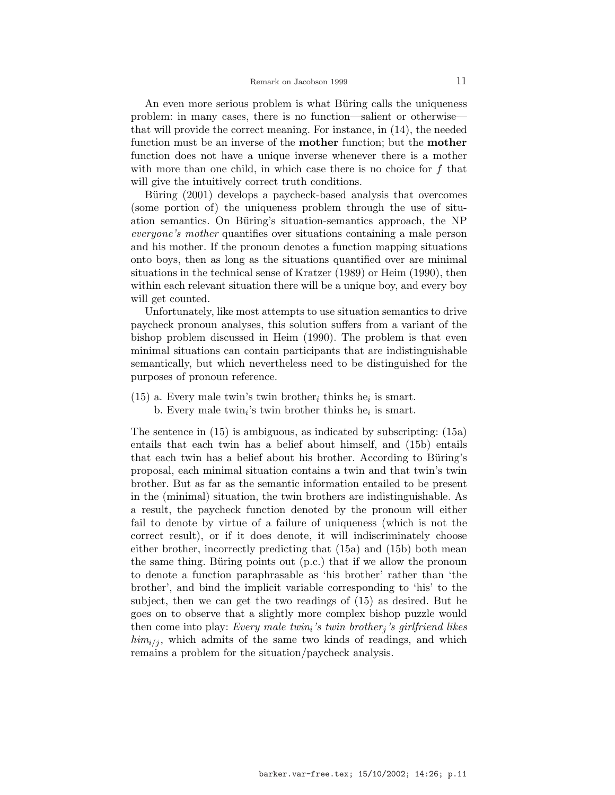An even more serious problem is what Büring calls the uniqueness problem: in many cases, there is no function—salient or otherwise that will provide the correct meaning. For instance, in (14), the needed function must be an inverse of the **mother** function; but the **mother** function does not have a unique inverse whenever there is a mother with more than one child, in which case there is no choice for  $f$  that will give the intuitively correct truth conditions.

Büring (2001) develops a paycheck-based analysis that overcomes (some portion of) the uniqueness problem through the use of situation semantics. On Büring's situation-semantics approach, the NP everyone's mother quantifies over situations containing a male person and his mother. If the pronoun denotes a function mapping situations onto boys, then as long as the situations quantified over are minimal situations in the technical sense of Kratzer (1989) or Heim (1990), then within each relevant situation there will be a unique boy, and every boy will get counted.

Unfortunately, like most attempts to use situation semantics to drive paycheck pronoun analyses, this solution suffers from a variant of the bishop problem discussed in Heim (1990). The problem is that even minimal situations can contain participants that are indistinguishable semantically, but which nevertheless need to be distinguished for the purposes of pronoun reference.

 $(15)$  a. Every male twin's twin brother<sub>i</sub> thinks he<sub>i</sub> is smart. b. Every male twin<sub>i</sub>'s twin brother thinks he<sub>i</sub> is smart.

The sentence in (15) is ambiguous, as indicated by subscripting: (15a) entails that each twin has a belief about himself, and (15b) entails that each twin has a belief about his brother. According to Büring's proposal, each minimal situation contains a twin and that twin's twin brother. But as far as the semantic information entailed to be present in the (minimal) situation, the twin brothers are indistinguishable. As a result, the paycheck function denoted by the pronoun will either fail to denote by virtue of a failure of uniqueness (which is not the correct result), or if it does denote, it will indiscriminately choose either brother, incorrectly predicting that (15a) and (15b) both mean the same thing. Büring points out  $(p.c.)$  that if we allow the pronoun to denote a function paraphrasable as 'his brother' rather than 'the brother', and bind the implicit variable corresponding to 'his' to the subject, then we can get the two readings of (15) as desired. But he goes on to observe that a slightly more complex bishop puzzle would then come into play: Every male twin<sub>i</sub>'s twin brother<sub>j</sub>'s girlfriend likes  $\lim_{i \to i}$ , which admits of the same two kinds of readings, and which remains a problem for the situation/paycheck analysis.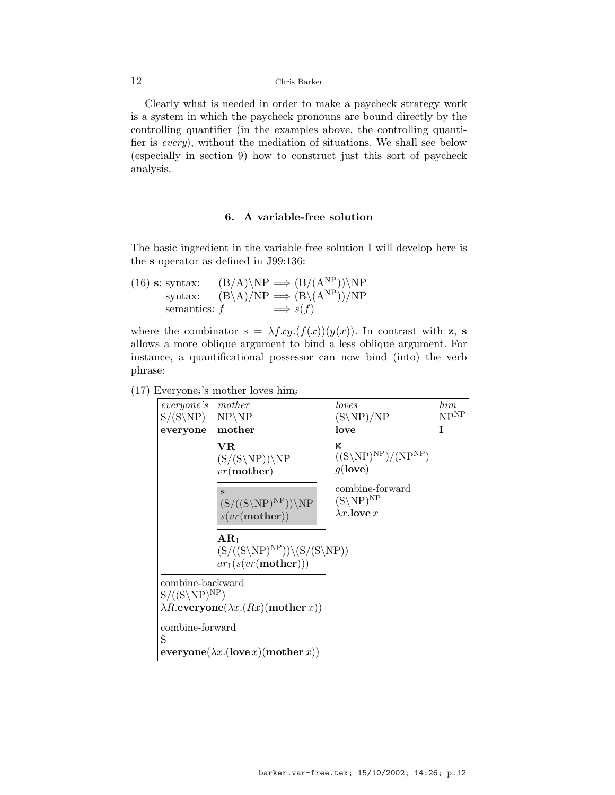Clearly what is needed in order to make a paycheck strategy work is a system in which the paycheck pronouns are bound directly by the controlling quantifier (in the examples above, the controlling quantifier is every), without the mediation of situations. We shall see below (especially in section 9) how to construct just this sort of paycheck analysis.

## 6. A variable-free solution

The basic ingredient in the variable-free solution I will develop here is the s operator as defined in J99:136:

(16) s: syntax:  $(B/A)\NP \implies (B/(A^{NP}))\NP$ syntax:  $(B\setminus A)/NP \implies (B\setminus (A^{NP}))/NP$ semantics:  $f \implies s(f)$ 

where the combinator  $s = \lambda fxy.(f(x))(y(x))$ . In contrast with z, s allows a more oblique argument to bind a less oblique argument. For instance, a quantificational possessor can now bind (into) the verb phrase:

# $(17)$  Everyone<sub>i</sub>'s mother loves him<sub>i</sub>

| everyone's<br>$S/(S\NP)$ NP\NP<br>everyone      | mother<br>mother                                                                                     | loves<br>$(S\NP)/NP$<br>love                                       | him<br>NP <sup>NP</sup><br>Ι |
|-------------------------------------------------|------------------------------------------------------------------------------------------------------|--------------------------------------------------------------------|------------------------------|
|                                                 | VR.<br>$(S/(S\N P))\N P$<br>$vr$ (mother)                                                            | g<br>$((S\backslash NP)^{NP})/(NP^{NP})$<br>$g$ (love)             |                              |
|                                                 | $\mathbf{s}$<br>$(S/((S\N P)^{NP}))\N P$<br>s(vr(mother))                                            | combine-forward<br>$(S\backslash NP)^{NP}$<br>$\lambda x$ . love x |                              |
|                                                 | $\bf A R_1$<br>$(S/((S\backslash NP)^{NP}))\backslash (S/(S\backslash NP))$<br>$ar_1(s(vr(mother)))$ |                                                                    |                              |
| combine-backward<br>$S/((S\backslash NP)^{NP})$ | $\lambda R$ .everyone $(\lambda x.(Rx)(\text{mother } x))$                                           |                                                                    |                              |
| combine-forward<br>S                            | ${\bf everyone}(\lambda x.({\bf love}\,x)({\bf mother}\,x))$                                         |                                                                    |                              |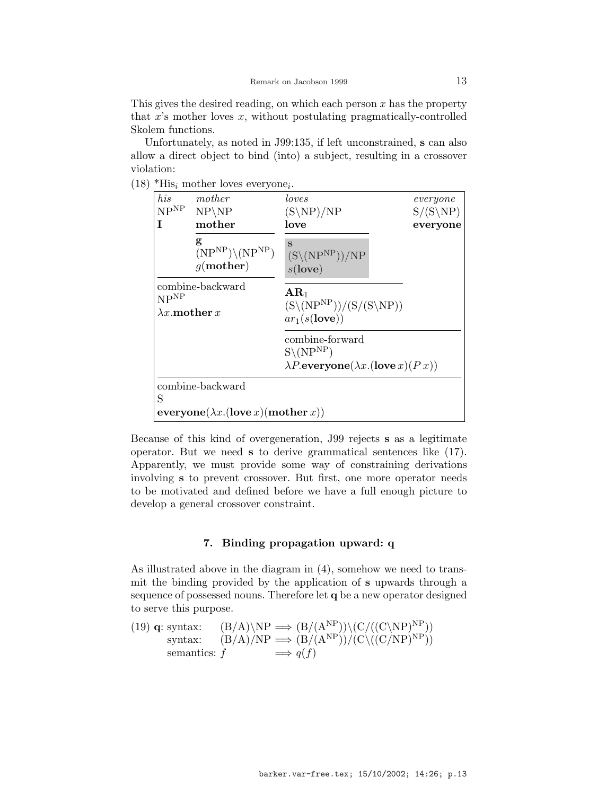This gives the desired reading, on which each person  $x$  has the property that  $x$ 's mother loves  $x$ , without postulating pragmatically-controlled Skolem functions.

Unfortunately, as noted in J99:135, if left unconstrained, s can also allow a direct object to bind (into) a subject, resulting in a crossover violation:

 $(18)$  \*His<sub>i</sub> mother loves everyone<sub>i</sub>.

| his<br>NP <sup>NP</sup><br>T                                                  | mother<br>$NP\backslash NP$<br>mother                                            | loves<br>$(S\NP)/NP$<br>love                                                                                   | $\it every one$<br>$S/(S\backslash NP)$<br>everyone |
|-------------------------------------------------------------------------------|----------------------------------------------------------------------------------|----------------------------------------------------------------------------------------------------------------|-----------------------------------------------------|
|                                                                               | g<br>$(NPNP)\setminus (NPNP)$<br>$q$ (mother)                                    | S<br>$(S\setminus (NP^{NP}))/NP$<br>$s$ (love)                                                                 |                                                     |
| $\ensuremath{\mathbf{NP}}^\ensuremath{\mathbf{NP}}$<br>$\lambda x$ mother $x$ | combine-backward                                                                 | $AR_1$<br>$(S\setminus (NP^{NP}))/(S/(S\setminus NP))$<br>$ar_1(s(\text{love}))$                               |                                                     |
|                                                                               |                                                                                  | combine-forward<br>$S\backslash(NP^{NP})$<br>$\lambda P.\mathbf{everyone}(\lambda x.(\mathbf{love}\,x)(P\,x))$ |                                                     |
| S                                                                             | combine-backward<br>${\bf everyone}(\lambda x.({\bf love}\,x)({\bf mother}\,x))$ |                                                                                                                |                                                     |

Because of this kind of overgeneration, J99 rejects s as a legitimate operator. But we need s to derive grammatical sentences like (17). Apparently, we must provide some way of constraining derivations involving s to prevent crossover. But first, one more operator needs to be motivated and defined before we have a full enough picture to develop a general crossover constraint.

## 7. Binding propagation upward: q

As illustrated above in the diagram in (4), somehow we need to transmit the binding provided by the application of s upwards through a sequence of possessed nouns. Therefore let q be a new operator designed to serve this purpose.

(19) **q**: syntax: 
$$
(B/A)\backslash NP \implies (B/(A^{NP}))\backslash (C/((C\backslash NP)^{NP}))
$$
  
 syntax:  $(B/A)/NP \implies (B/(A^{NP}))/(C\backslash ((C/NP)^{NP}))$   
semantics:  $f \implies q(f)$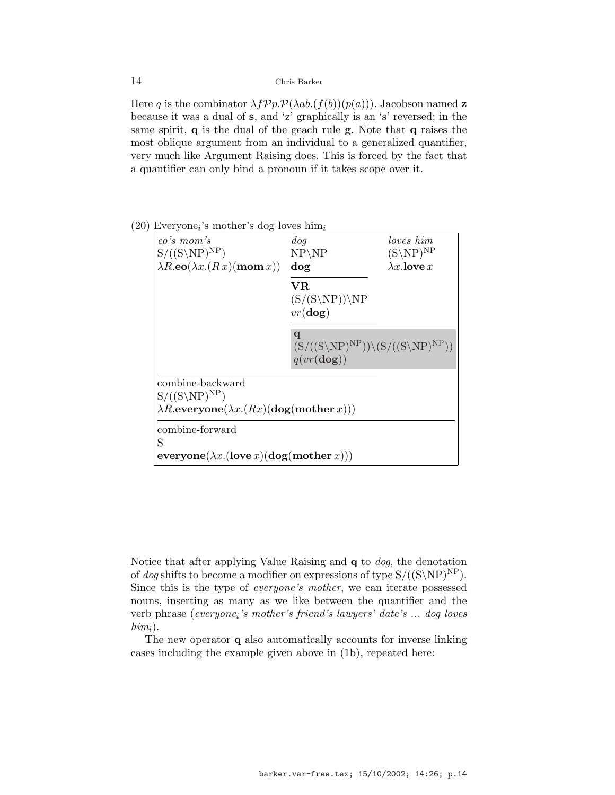Here q is the combinator  $\lambda f \mathcal{P} p \cdot \mathcal{P} (\lambda ab. (f(b))(p(a)))$ . Jacobson named z because it was a dual of s, and 'z' graphically is an 's' reversed; in the same spirit,  $q$  is the dual of the geach rule  $g$ . Note that  $q$  raises the most oblique argument from an individual to a generalized quantifier, very much like Argument Raising does. This is forced by the fact that a quantifier can only bind a pronoun if it takes scope over it.

## eo's mom's  $S/((S\backslash NP)^{NP})$  $\lambda R.\mathbf{eo}(\lambda x.(R x)(\mathbf{mom } x))$ dog NP\NP dog VR  $(S/(S\NP))\NP$  $vr(\textbf{dog})$ q  $(S/((S\N P)^{NP}))\S/((S\N P)^{NP})$  $q(vr(\textbf{dog}))$ combine-backward  $S/((S\backslash NP)^{NP})$  $\lambda R.\mathbf{everyone}(\lambda x.(Rx)(\mathbf{dog}(\mathbf{mother}\,x)))$ loves him  $(S\backslash NP)^{NP}$  $\lambda x$ . love  $x$ combine-forward S  $\mathbf{everyone}(\lambda x.(\mathbf{love}\,x)(\mathbf{dog}(\mathbf{mother}\,x)))$

# $(20)$  Everyone<sub>i</sub>'s mother's dog loves him<sub>i</sub>

Notice that after applying Value Raising and q to dog, the denotation of dog shifts to become a modifier on expressions of type  $S/((S\ N P)^{NP})$ . Since this is the type of everyone's mother, we can iterate possessed nouns, inserting as many as we like between the quantifier and the verb phrase (everyone<sub>i</sub>'s mother's friend's lawyers' date's ... dog loves  $him_i$ ).

The new operator q also automatically accounts for inverse linking cases including the example given above in (1b), repeated here: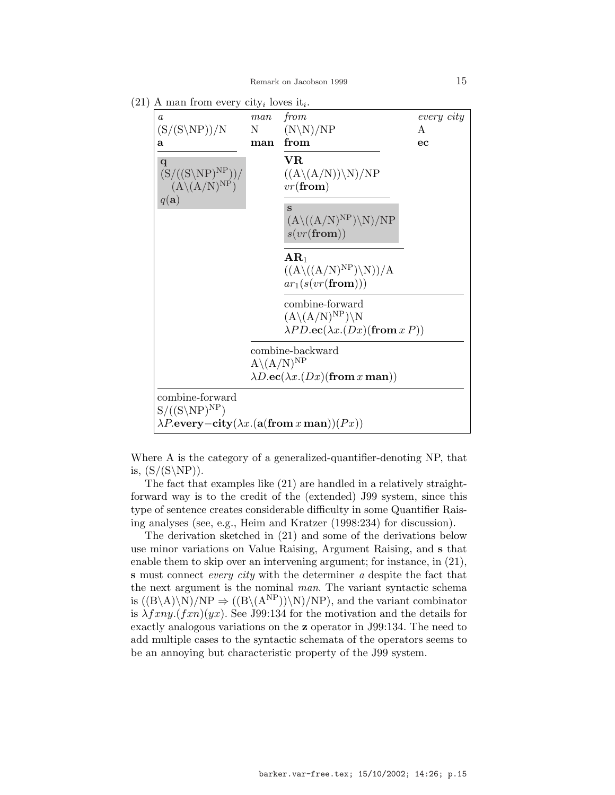$(21)$  A man from every city<sub>i</sub> loves it<sub>i</sub>.

| $\boldsymbol{a}$<br>$(S/(S\ NP))/N$                                                                                                                      | man<br>N                 | from<br>$(N\N)/NP$                                                                                                                                                                                                              | every city<br>A |
|----------------------------------------------------------------------------------------------------------------------------------------------------------|--------------------------|---------------------------------------------------------------------------------------------------------------------------------------------------------------------------------------------------------------------------------|-----------------|
| a                                                                                                                                                        | man                      | from                                                                                                                                                                                                                            | ec              |
| $\mathbf q$<br>$(S/((S\backslash NP)^{NP}))/$<br>$(A\backslash (A/N)^{NP})$<br>$q(\mathbf{a})$                                                           |                          | ${\bf VR}$<br>$((A\langle (A/N)\rangle\langle N\rangle/NP))$<br>$vr({\bf from})$<br>$\mathbf{s}$<br>$(A\setminus ((A/N)^{NP})\setminus N)/NP$<br>$s(vr(\mathbf{from}))$<br>$AR_1$<br>$((A\setminus ((A/N)^{NP})\setminus N))/A$ |                 |
|                                                                                                                                                          |                          | $ar_1(s(vr(\mathbf{from})))$<br>combine-forward<br>$(A\backslash (A/N)^{NP})\backslash N$<br>$\lambda PD \cdot \mathbf{ec}(\lambda x. (Dx)(\mathbf{from} x P))$                                                                 |                 |
|                                                                                                                                                          | $A\backslash (A/N)^{NP}$ | combine-backward<br>$\lambda D \cdot \mathbf{ec}(\lambda x.(Dx)(\textbf{from }x \textbf{ man}))$                                                                                                                                |                 |
| combine-forward<br>$S/((S\backslash NP)^{NP})$<br>$\lambda P.\mathbf{every} - \mathbf{city}(\lambda x.(\mathbf{a}(\mathbf{from}\,x\,\mathbf{man}))(Px))$ |                          |                                                                                                                                                                                                                                 |                 |

Where A is the category of a generalized-quantifier-denoting NP, that is,  $(S/(S\ NP)).$ 

The fact that examples like (21) are handled in a relatively straightforward way is to the credit of the (extended) J99 system, since this type of sentence creates considerable difficulty in some Quantifier Raising analyses (see, e.g., Heim and Kratzer (1998:234) for discussion).

The derivation sketched in (21) and some of the derivations below use minor variations on Value Raising, Argument Raising, and s that enable them to skip over an intervening argument; for instance, in (21), s must connect *every city* with the determiner a despite the fact that the next argument is the nominal man. The variant syntactic schema is  $((B\A)\N)/NP \Rightarrow ((B\A^{NP}))\N)/NP$ , and the variant combinator is  $\lambda f x n y. (f x n)(y x)$ . See J99:134 for the motivation and the details for exactly analogous variations on the z operator in J99:134. The need to add multiple cases to the syntactic schemata of the operators seems to be an annoying but characteristic property of the J99 system.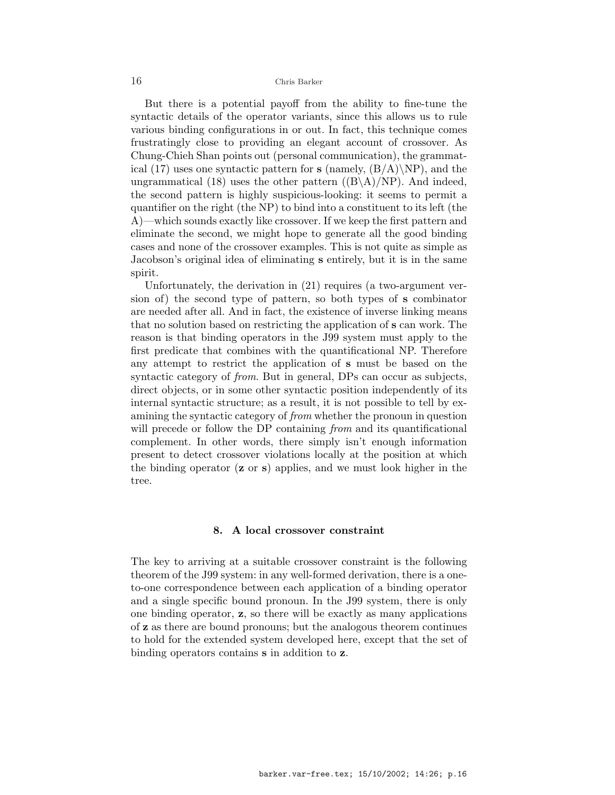But there is a potential payoff from the ability to fine-tune the syntactic details of the operator variants, since this allows us to rule various binding configurations in or out. In fact, this technique comes frustratingly close to providing an elegant account of crossover. As Chung-Chieh Shan points out (personal communication), the grammatical (17) uses one syntactic pattern for  $s$  (namely,  $(B/A)\N P$ ), and the ungrammatical (18) uses the other pattern  $((B \ A)/NP)$ . And indeed, the second pattern is highly suspicious-looking: it seems to permit a quantifier on the right (the NP) to bind into a constituent to its left (the A)—which sounds exactly like crossover. If we keep the first pattern and eliminate the second, we might hope to generate all the good binding cases and none of the crossover examples. This is not quite as simple as Jacobson's original idea of eliminating s entirely, but it is in the same spirit.

Unfortunately, the derivation in (21) requires (a two-argument version of) the second type of pattern, so both types of s combinator are needed after all. And in fact, the existence of inverse linking means that no solution based on restricting the application of s can work. The reason is that binding operators in the J99 system must apply to the first predicate that combines with the quantificational NP. Therefore any attempt to restrict the application of s must be based on the syntactic category of *from*. But in general, DPs can occur as subjects, direct objects, or in some other syntactic position independently of its internal syntactic structure; as a result, it is not possible to tell by examining the syntactic category of from whether the pronoun in question will precede or follow the DP containing from and its quantificational complement. In other words, there simply isn't enough information present to detect crossover violations locally at the position at which the binding operator  $(z \text{ or } s)$  applies, and we must look higher in the tree.

## 8. A local crossover constraint

The key to arriving at a suitable crossover constraint is the following theorem of the J99 system: in any well-formed derivation, there is a oneto-one correspondence between each application of a binding operator and a single specific bound pronoun. In the J99 system, there is only one binding operator,  $z$ , so there will be exactly as many applications of z as there are bound pronouns; but the analogous theorem continues to hold for the extended system developed here, except that the set of binding operators contains s in addition to z.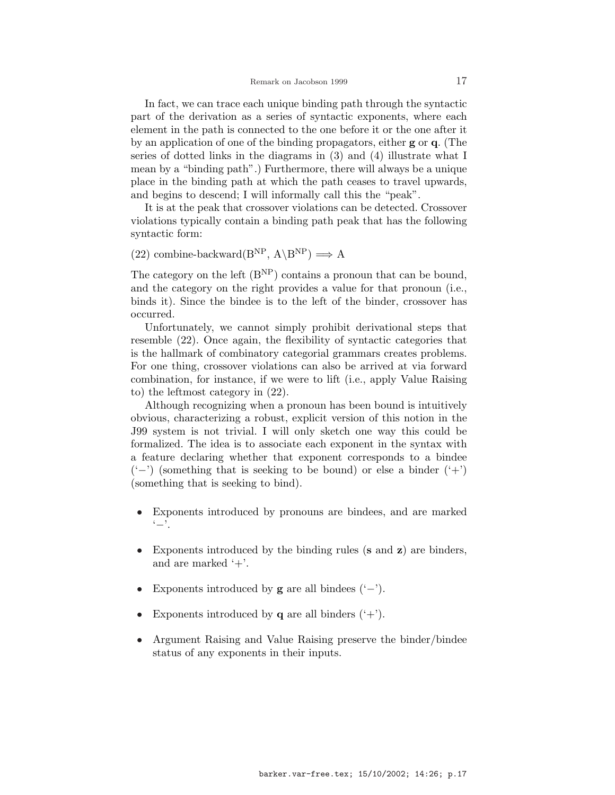In fact, we can trace each unique binding path through the syntactic part of the derivation as a series of syntactic exponents, where each element in the path is connected to the one before it or the one after it by an application of one of the binding propagators, either g or q. (The series of dotted links in the diagrams in (3) and (4) illustrate what I mean by a "binding path".) Furthermore, there will always be a unique place in the binding path at which the path ceases to travel upwards, and begins to descend; I will informally call this the "peak".

It is at the peak that crossover violations can be detected. Crossover violations typically contain a binding path peak that has the following syntactic form:

(22) combine-backward( $B^{NP}$ ,  $A \setminus B^{NP}$ )  $\implies A$ 

The category on the left  $(B<sup>NP</sup>)$  contains a pronoun that can be bound, and the category on the right provides a value for that pronoun (i.e., binds it). Since the bindee is to the left of the binder, crossover has occurred.

Unfortunately, we cannot simply prohibit derivational steps that resemble (22). Once again, the flexibility of syntactic categories that is the hallmark of combinatory categorial grammars creates problems. For one thing, crossover violations can also be arrived at via forward combination, for instance, if we were to lift (i.e., apply Value Raising to) the leftmost category in (22).

Although recognizing when a pronoun has been bound is intuitively obvious, characterizing a robust, explicit version of this notion in the J99 system is not trivial. I will only sketch one way this could be formalized. The idea is to associate each exponent in the syntax with a feature declaring whether that exponent corresponds to a bindee  $'$ –') (something that is seeking to be bound) or else a binder  $'$ +') (something that is seeking to bind).

- Exponents introduced by pronouns are bindees, and are marked '−'.
- Exponents introduced by the binding rules (s and z) are binders, and are marked '+'.
- Exponents introduced by  $g$  are all bindees  $(·-')$ .
- Exponents introduced by **q** are all binders  $(·+')$ .
- Argument Raising and Value Raising preserve the binder/bindee status of any exponents in their inputs.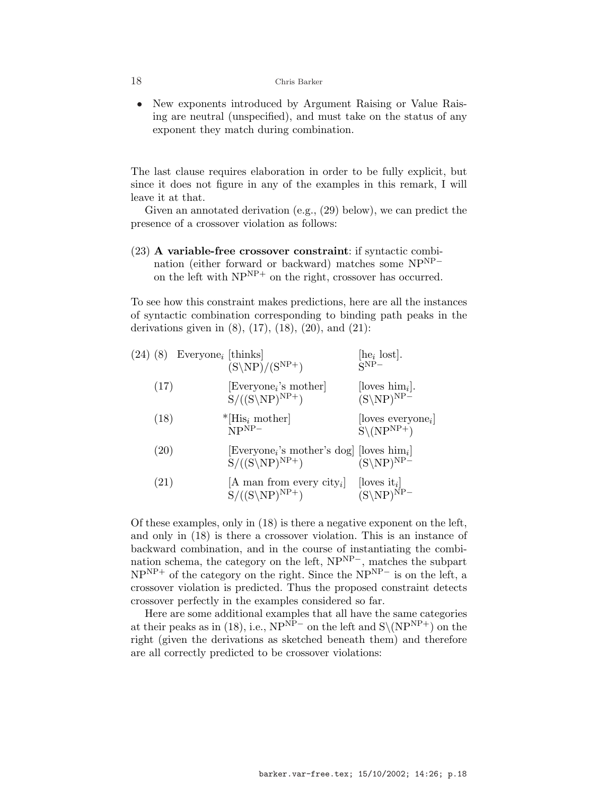• New exponents introduced by Argument Raising or Value Raising are neutral (unspecified), and must take on the status of any exponent they match during combination.

The last clause requires elaboration in order to be fully explicit, but since it does not figure in any of the examples in this remark, I will leave it at that.

Given an annotated derivation (e.g., (29) below), we can predict the presence of a crossover violation as follows:

(23) A variable-free crossover constraint: if syntactic combination (either forward or backward) matches some NPNP<sup>−</sup> on the left with  $NP<sup>NP+</sup>$  on the right, crossover has occurred.

To see how this constraint makes predictions, here are all the instances of syntactic combination corresponding to binding path peaks in the derivations given in  $(8)$ ,  $(17)$ ,  $(18)$ ,  $(20)$ , and  $(21)$ :

| (17)<br>$\left \text{Everyone}_i\right\rangle$ 's mother<br>[loves $\lim_i$ ].<br>$(S\backslash NP)^{NP-}$<br>$S/((S\backslash NP)^{NP+})$<br>(18)<br>$*$ [His <sub>i</sub> mother]<br>$NPNP-$<br>$S\backslash(NP^{NP+})$<br>(20)<br>[Everyone <sub>i</sub> 's mother's dog] [loves him <sub>i</sub> ]<br>$S/((S\backslash NP)^{NP+})$<br>$(S\backslash NP)^{NP-}$<br>$\left( 21\right)$<br>A man from every city <sub>i</sub><br>$ loves it_i $<br>$S/((S\backslash NP)^{NP+})$<br>$(S\backslash NP)^{NP-}$ |  | $(24)$ $(8)$ Everyone <sub>i</sub> [thinks] | $(S\backslash NP)/(S^{NP+})$ | [he <sub>i</sub> lost].<br>$\mathbf{Q}$ NP $-$ |
|--------------------------------------------------------------------------------------------------------------------------------------------------------------------------------------------------------------------------------------------------------------------------------------------------------------------------------------------------------------------------------------------------------------------------------------------------------------------------------------------------------------|--|---------------------------------------------|------------------------------|------------------------------------------------|
|                                                                                                                                                                                                                                                                                                                                                                                                                                                                                                              |  |                                             |                              |                                                |
|                                                                                                                                                                                                                                                                                                                                                                                                                                                                                                              |  |                                             |                              | $ loves every one_i $                          |
|                                                                                                                                                                                                                                                                                                                                                                                                                                                                                                              |  |                                             |                              |                                                |
|                                                                                                                                                                                                                                                                                                                                                                                                                                                                                                              |  |                                             |                              |                                                |

Of these examples, only in (18) is there a negative exponent on the left, and only in (18) is there a crossover violation. This is an instance of backward combination, and in the course of instantiating the combination schema, the category on the left, NPNP−, matches the subpart  $NP<sup>NP+</sup>$  of the category on the right. Since the  $NP<sup>NP-</sup>$  is on the left, a crossover violation is predicted. Thus the proposed constraint detects crossover perfectly in the examples considered so far.

Here are some additional examples that all have the same categories at their peaks as in (18), i.e.,  $NP<sup>NP</sup>$  on the left and  $S\(NP<sup>NP+</sup>)$  on the right (given the derivations as sketched beneath them) and therefore are all correctly predicted to be crossover violations: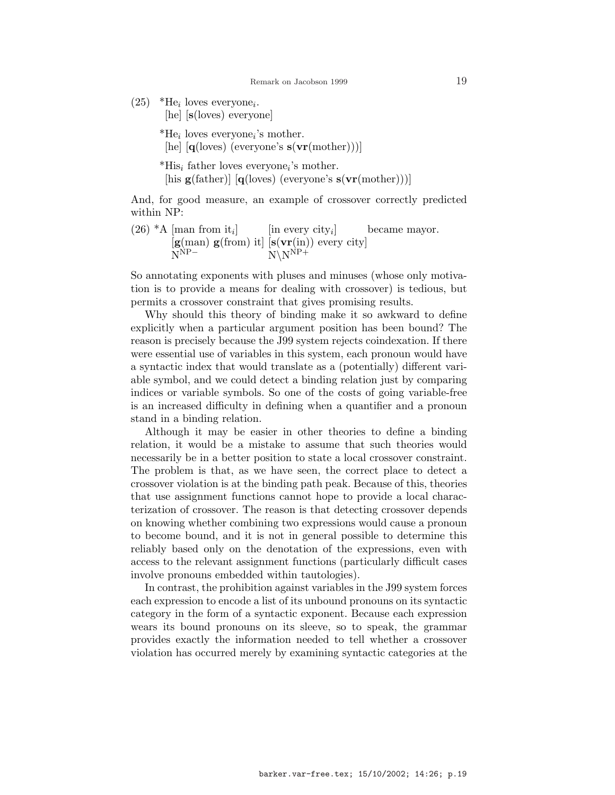$(25)$  \*He<sub>i</sub> loves everyone<sub>i</sub>.

[he] [s(loves) everyone]

 $*$ He<sub>i</sub> loves everyone<sub>i</sub>'s mother.

[he]  $[q(\text{loves})$  (everyone's  $s(\text{vr}(\text{mother})))$ ]

 $*$ His<sub>i</sub> father loves everyone<sub>i</sub>'s mother.

[his  $g(father)$ ] [q(loves) (everyone's  $s(vr(mother)))$ ]

And, for good measure, an example of crossover correctly predicted within NP:

 $(26)$  \*A [man from it<sub>i</sub>]  $\left[$ in every city<sub>i</sub> $\right]$ became mayor.  $[g(\text{man}) g(\text{from}) it] [s(\text{vr(in)}) \text{ every city}]$ <br>N<sup>NP-</sup>  $N\overline{N}N^{\overline{N}P+}$ 

So annotating exponents with pluses and minuses (whose only motivation is to provide a means for dealing with crossover) is tedious, but permits a crossover constraint that gives promising results.

Why should this theory of binding make it so awkward to define explicitly when a particular argument position has been bound? The reason is precisely because the J99 system rejects coindexation. If there were essential use of variables in this system, each pronoun would have a syntactic index that would translate as a (potentially) different variable symbol, and we could detect a binding relation just by comparing indices or variable symbols. So one of the costs of going variable-free is an increased difficulty in defining when a quantifier and a pronoun stand in a binding relation.

Although it may be easier in other theories to define a binding relation, it would be a mistake to assume that such theories would necessarily be in a better position to state a local crossover constraint. The problem is that, as we have seen, the correct place to detect a crossover violation is at the binding path peak. Because of this, theories that use assignment functions cannot hope to provide a local characterization of crossover. The reason is that detecting crossover depends on knowing whether combining two expressions would cause a pronoun to become bound, and it is not in general possible to determine this reliably based only on the denotation of the expressions, even with access to the relevant assignment functions (particularly difficult cases involve pronouns embedded within tautologies).

In contrast, the prohibition against variables in the J99 system forces each expression to encode a list of its unbound pronouns on its syntactic category in the form of a syntactic exponent. Because each expression wears its bound pronouns on its sleeve, so to speak, the grammar provides exactly the information needed to tell whether a crossover violation has occurred merely by examining syntactic categories at the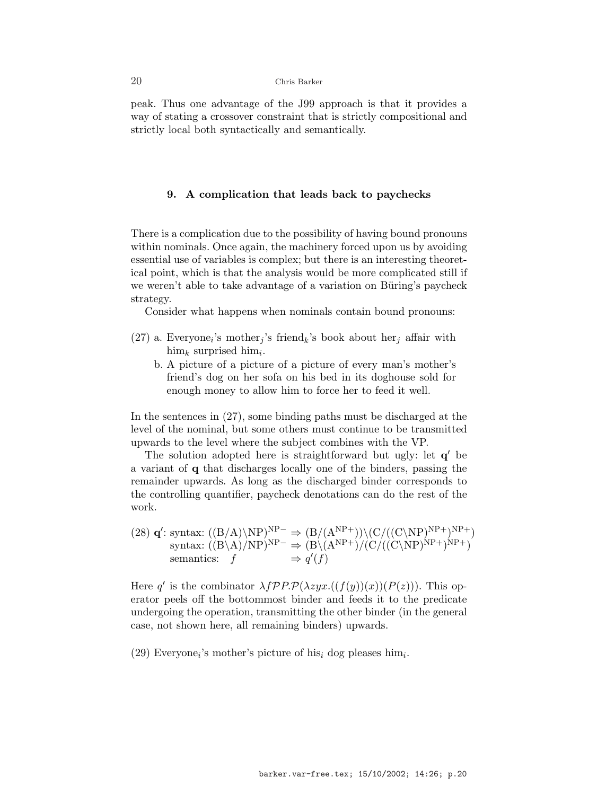peak. Thus one advantage of the J99 approach is that it provides a way of stating a crossover constraint that is strictly compositional and strictly local both syntactically and semantically.

### 9. A complication that leads back to paychecks

There is a complication due to the possibility of having bound pronouns within nominals. Once again, the machinery forced upon us by avoiding essential use of variables is complex; but there is an interesting theoretical point, which is that the analysis would be more complicated still if we weren't able to take advantage of a variation on Büring's paycheck strategy.

Consider what happens when nominals contain bound pronouns:

- (27) a. Everyone<sub>i</sub>'s mother<sub>j</sub>'s friend<sub>k</sub>'s book about her<sub>j</sub> affair with  $\lim_{k}$  surprised  $\lim_{i}$ .
	- b. A picture of a picture of a picture of every man's mother's friend's dog on her sofa on his bed in its doghouse sold for enough money to allow him to force her to feed it well.

In the sentences in (27), some binding paths must be discharged at the level of the nominal, but some others must continue to be transmitted upwards to the level where the subject combines with the VP.

The solution adopted here is straightforward but ugly: let  $q'$  be a variant of q that discharges locally one of the binders, passing the remainder upwards. As long as the discharged binder corresponds to the controlling quantifier, paycheck denotations can do the rest of the work.

(28)  $\mathbf{q}'$ : syntax:  $((B/A)\N P)^{NP-} \Rightarrow (B/(A^{NP+}))\N (C/((C\N P))^{NP+})^{NP+})$ syntax:  $((B \ A)/NP)^{NP-} \Rightarrow (B \ (A^{NP+})/(C/((C \ NP)^{NP+})^{NP+})$ semantics:  $f \Rightarrow q'(f)$ 

Here q' is the combinator  $\lambda fPP \cdot \mathcal{P}(\lambda zyx \cdot ((f(y))(x))(P(z))$ . This operator peels off the bottommost binder and feeds it to the predicate undergoing the operation, transmitting the other binder (in the general case, not shown here, all remaining binders) upwards.

(29) Everyone<sub>i</sub>'s mother's picture of his<sub>i</sub> dog pleases him<sub>i</sub>.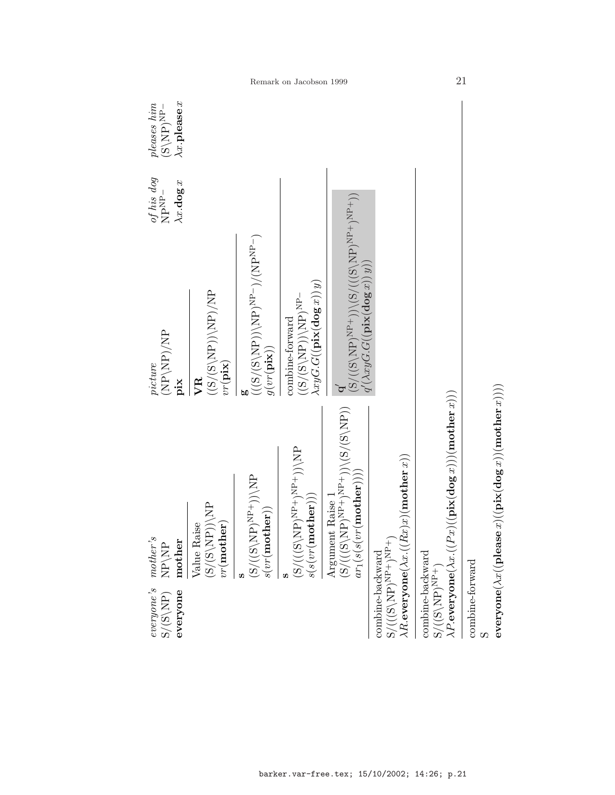| $\mathit{everyone's}\ \mathrm{S/(S\backslash NP)}$<br>everyone                                                 | $mother's$<br>mother<br>$\mathbf{NP}\backslash\mathbf{NP}$                                                                                                                                                                    | $\mathrm{dN}/\mathrm{dN}$ )/NP<br>picture<br>pix                                                                                                                                                                              | $of$ $his$ $dog$ $\rm NP-$<br>$\lambda x$ .dog x | $\lambda x.$ please $x$<br>$\begin{array}{c} p{{\it leaves}\;{him}}\\ {\rm (S\backslash NP)^{NP-}} \end{array}$ |
|----------------------------------------------------------------------------------------------------------------|-------------------------------------------------------------------------------------------------------------------------------------------------------------------------------------------------------------------------------|-------------------------------------------------------------------------------------------------------------------------------------------------------------------------------------------------------------------------------|--------------------------------------------------|-----------------------------------------------------------------------------------------------------------------|
|                                                                                                                | $\begin{array}{l} \text{Value Raise} \\ (S/(S\backslash \text{NP}))\backslash \text{NP} \\ vr (\text{mother}) \end{array}$                                                                                                    | $\mathrm{d}N/(\mathrm{dN})$ (R) $\mathrm{dN}$<br>$vr$ (pix)<br>УR                                                                                                                                                             |                                                  |                                                                                                                 |
|                                                                                                                | $(N/(S\backslash NP)^{NP}))(NP$<br>$s(vr(\mathbf{mother}))$                                                                                                                                                                   | $\frac{((\mathrm{(S}/(\mathrm{S}\backslash\mathrm{NP}))\backslash\mathrm{NP})^{\mathrm{NP}}-)}{g(vr(\mathrm{pix}))}$                                                                                                          |                                                  |                                                                                                                 |
|                                                                                                                | $(Y/(S\setminus N\mathbf{P}^{\mathbf{N}\mathbf{P}+\mathbf{N}\mathbf{P}+\mathbf{N}})(\mathbf{S})$<br>$s(\mathit{sr}(\textbf{mother})))$                                                                                        | $\lambda xyG.G((\mathbf{pix}(\mathbf{log}\ x))\ y)$<br>$-4M$ ( $\mathrm{H}$ ) ( $\mathrm{H}$ ) ( $\mathrm{H}$ ) ( $\mathrm{H}$ ) ( $\mathrm{H}$ ) (<br>combine-forward                                                        |                                                  |                                                                                                                 |
|                                                                                                                | $\begin{array}{l} \left(S/(((\textbf{S}\backslash\text{NP})^\text{NP+})^\text{NP+})) \backslash (S/( \textbf{S} \backslash \text{NP})) \right. \\ \left. ar_1(s(s(vr({\bf mother}))) \right) \end{array}$<br>Argument Raise 1 | $\begin{array}{l} ( \text{S}/(\text{S}\backslash\text{NP})^{\text{NP}+})) ( \text{S}/((\text{S}\backslash\text{NP})^{\text{NP}+})^{\text{NP}+})^{\text{NP}+}))\\ q'(\lambda xyG.G((\text{pix}(\text{dog}\,x)))\\ \end{array}$ |                                                  |                                                                                                                 |
|                                                                                                                | combine-backward $\mathrm{S}/(((\mathrm{S}\backslash\mathrm{NP})^{\mathrm{NP}+})^{\mathrm{NP}+}) \newline \lambda R.\mathbf{everyone}(\lambda x.((Rx)x)(\text{mother }x))$                                                    |                                                                                                                                                                                                                               |                                                  |                                                                                                                 |
| $\begin{array}{l} \mbox{combine-backward}\\ \mbox{S}/((\mbox{S}\backslash\mbox{NP})^{\mbox{NP}+}) \end{array}$ | $\lambda P.\mathbf{everyone}(\lambda x.((Px)((\mathbf{pix}(\mathbf{dog}\,x)))(\mathbf{mother}\,x)))$                                                                                                                          |                                                                                                                                                                                                                               |                                                  |                                                                                                                 |
| ${\tt combine-forward}$                                                                                        | ${\tt everyone}(\lambda x(({\tt please}\,x)({\tt pix}({\tt dog}\,x))({\tt mother}\,x)))$                                                                                                                                      |                                                                                                                                                                                                                               |                                                  |                                                                                                                 |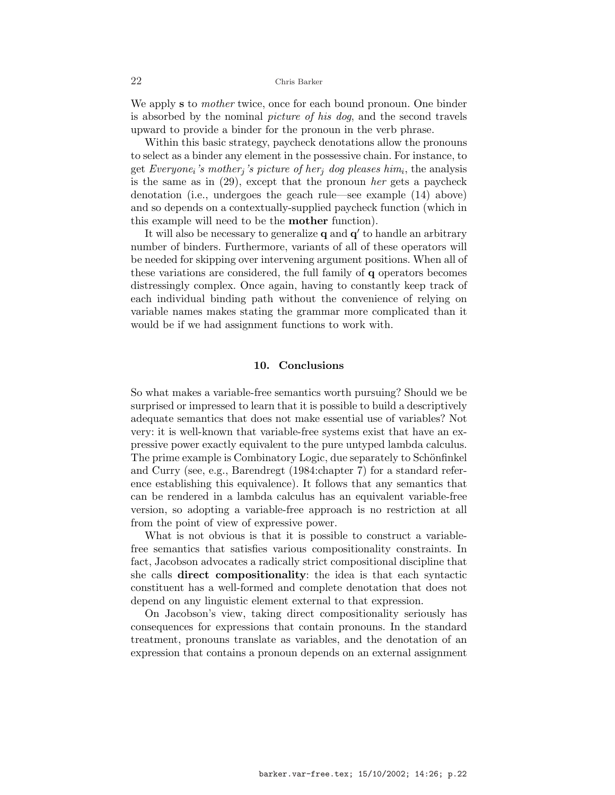We apply **s** to *mother* twice, once for each bound pronoun. One binder is absorbed by the nominal picture of his dog, and the second travels upward to provide a binder for the pronoun in the verb phrase.

Within this basic strategy, paycheck denotations allow the pronouns to select as a binder any element in the possessive chain. For instance, to get Everyone<sub>i</sub>'s mother<sub>j</sub>'s picture of her<sub>j</sub> dog pleases him<sub>i</sub>, the analysis is the same as in (29), except that the pronoun her gets a paycheck denotation (i.e., undergoes the geach rule—see example (14) above) and so depends on a contextually-supplied paycheck function (which in this example will need to be the mother function).

It will also be necessary to generalize  $q$  and  $q'$  to handle an arbitrary number of binders. Furthermore, variants of all of these operators will be needed for skipping over intervening argument positions. When all of these variations are considered, the full family of q operators becomes distressingly complex. Once again, having to constantly keep track of each individual binding path without the convenience of relying on variable names makes stating the grammar more complicated than it would be if we had assignment functions to work with.

## 10. Conclusions

So what makes a variable-free semantics worth pursuing? Should we be surprised or impressed to learn that it is possible to build a descriptively adequate semantics that does not make essential use of variables? Not very: it is well-known that variable-free systems exist that have an expressive power exactly equivalent to the pure untyped lambda calculus. The prime example is Combinatory Logic, due separately to Schönfinkel and Curry (see, e.g., Barendregt (1984:chapter 7) for a standard reference establishing this equivalence). It follows that any semantics that can be rendered in a lambda calculus has an equivalent variable-free version, so adopting a variable-free approach is no restriction at all from the point of view of expressive power.

What is not obvious is that it is possible to construct a variablefree semantics that satisfies various compositionality constraints. In fact, Jacobson advocates a radically strict compositional discipline that she calls direct compositionality: the idea is that each syntactic constituent has a well-formed and complete denotation that does not depend on any linguistic element external to that expression.

On Jacobson's view, taking direct compositionality seriously has consequences for expressions that contain pronouns. In the standard treatment, pronouns translate as variables, and the denotation of an expression that contains a pronoun depends on an external assignment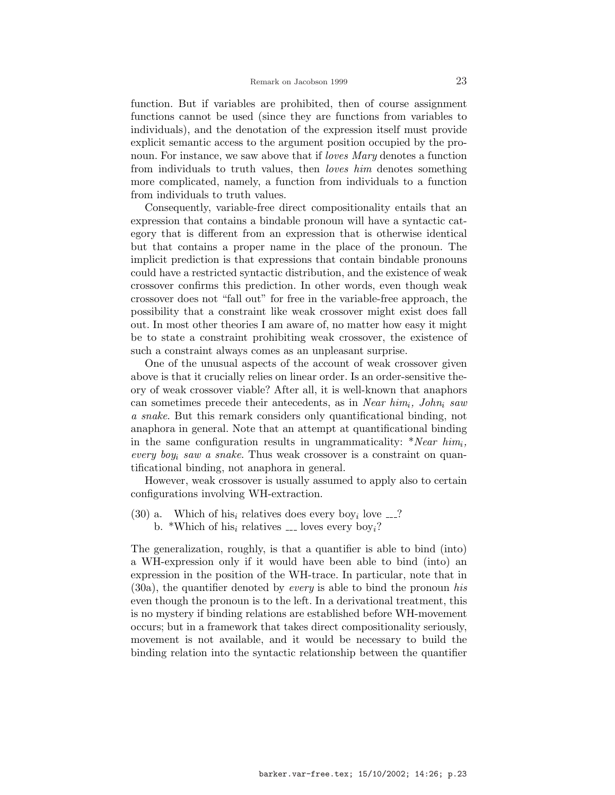function. But if variables are prohibited, then of course assignment functions cannot be used (since they are functions from variables to individuals), and the denotation of the expression itself must provide explicit semantic access to the argument position occupied by the pronoun. For instance, we saw above that if *loves Mary* denotes a function from individuals to truth values, then *loves him* denotes something more complicated, namely, a function from individuals to a function from individuals to truth values.

Consequently, variable-free direct compositionality entails that an expression that contains a bindable pronoun will have a syntactic category that is different from an expression that is otherwise identical but that contains a proper name in the place of the pronoun. The implicit prediction is that expressions that contain bindable pronouns could have a restricted syntactic distribution, and the existence of weak crossover confirms this prediction. In other words, even though weak crossover does not "fall out" for free in the variable-free approach, the possibility that a constraint like weak crossover might exist does fall out. In most other theories I am aware of, no matter how easy it might be to state a constraint prohibiting weak crossover, the existence of such a constraint always comes as an unpleasant surprise.

One of the unusual aspects of the account of weak crossover given above is that it crucially relies on linear order. Is an order-sensitive theory of weak crossover viable? After all, it is well-known that anaphors can sometimes precede their antecedents, as in Near  $him_i$ , John<sub>i</sub> saw a snake. But this remark considers only quantificational binding, not anaphora in general. Note that an attempt at quantificational binding in the same configuration results in ungrammaticality:  $*Near \ him_i$ , every boy<sub>i</sub> saw a snake. Thus weak crossover is a constraint on quantificational binding, not anaphora in general.

However, weak crossover is usually assumed to apply also to certain configurations involving WH-extraction.

(30) a. Which of his<sub>i</sub> relatives does every boy<sub>i</sub> love  $\ldots$ ? b. \*Which of his<sub>i</sub> relatives  $\frac{1}{2}$  loves every boy<sub>i</sub>?

The generalization, roughly, is that a quantifier is able to bind (into) a WH-expression only if it would have been able to bind (into) an expression in the position of the WH-trace. In particular, note that in  $(30a)$ , the quantifier denoted by *every* is able to bind the pronoun his even though the pronoun is to the left. In a derivational treatment, this is no mystery if binding relations are established before WH-movement occurs; but in a framework that takes direct compositionality seriously, movement is not available, and it would be necessary to build the binding relation into the syntactic relationship between the quantifier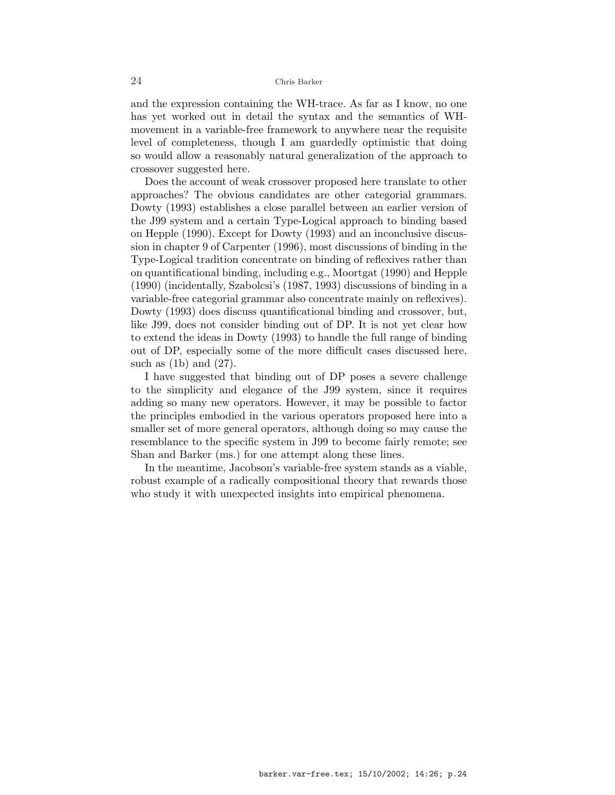and the expression containing the WH-trace. As far as I know, no one has yet worked out in detail the syntax and the semantics of WHmovement in a variable-free framework to anywhere near the requisite level of completeness, though I am guardedly optimistic that doing so would allow a reasonably natural generalization of the approach to crossover suggested here.

Does the account of weak crossover proposed here translate to other approaches? The obvious candidates are other categorial grammars. Dowty (1993) establishes a close parallel between an earlier version of the J99 system and a certain Type-Logical approach to binding based on Hepple (1990). Except for Dowty (1993) and an inconclusive discussion in chapter 9 of Carpenter (1996), most discussions of binding in the Type-Logical tradition concentrate on binding of reflexives rather than on quantificational binding, including e.g., Moortgat (1990) and Hepple (1990) (incidentally, Szabolcsi's (1987, 1993) discussions of binding in a variable-free categorial grammar also concentrate mainly on reflexives). Dowty (1993) does discuss quantificational binding and crossover, but, like J99, does not consider binding out of DP. It is not yet clear how to extend the ideas in Dowty (1993) to handle the full range of binding out of DP, especially some of the more difficult cases discussed here, such as  $(1b)$  and  $(27)$ .

I have suggested that binding out of DP poses a severe challenge to the simplicity and elegance of the J99 system, since it requires adding so many new operators. However, it may be possible to factor the principles embodied in the various operators proposed here into a smaller set of more general operators, although doing so may cause the resemblance to the specific system in J99 to become fairly remote; see Shan and Barker (ms.) for one attempt along these lines.

In the meantime, Jacobson's variable-free system stands as a viable, robust example of a radically compositional theory that rewards those who study it with unexpected insights into empirical phenomena.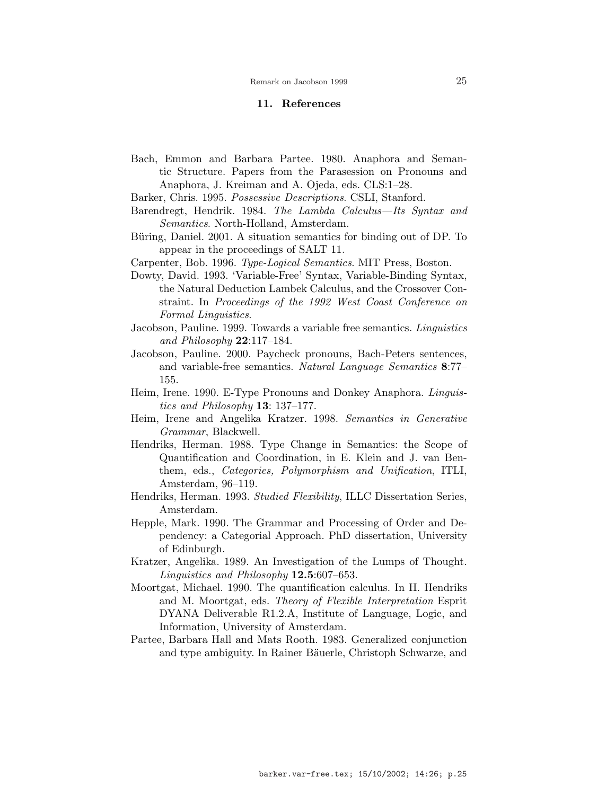#### 11. References

- Bach, Emmon and Barbara Partee. 1980. Anaphora and Semantic Structure. Papers from the Parasession on Pronouns and Anaphora, J. Kreiman and A. Ojeda, eds. CLS:1–28.
- Barker, Chris. 1995. Possessive Descriptions. CSLI, Stanford.
- Barendregt, Hendrik. 1984. The Lambda Calculus—Its Syntax and Semantics. North-Holland, Amsterdam.
- Büring, Daniel. 2001. A situation semantics for binding out of DP. To appear in the proceedings of SALT 11.
- Carpenter, Bob. 1996. Type-Logical Semantics. MIT Press, Boston.
- Dowty, David. 1993. 'Variable-Free' Syntax, Variable-Binding Syntax, the Natural Deduction Lambek Calculus, and the Crossover Constraint. In Proceedings of the 1992 West Coast Conference on Formal Linguistics.
- Jacobson, Pauline. 1999. Towards a variable free semantics. Linguistics and Philosophy  $22:117-184$ .
- Jacobson, Pauline. 2000. Paycheck pronouns, Bach-Peters sentences, and variable-free semantics. Natural Language Semantics 8:77– 155.
- Heim, Irene. 1990. E-Type Pronouns and Donkey Anaphora. Linguistics and Philosophy 13: 137–177.
- Heim, Irene and Angelika Kratzer. 1998. Semantics in Generative Grammar, Blackwell.
- Hendriks, Herman. 1988. Type Change in Semantics: the Scope of Quantification and Coordination, in E. Klein and J. van Benthem, eds., Categories, Polymorphism and Unification, ITLI, Amsterdam, 96–119.
- Hendriks, Herman. 1993. Studied Flexibility, ILLC Dissertation Series, Amsterdam.
- Hepple, Mark. 1990. The Grammar and Processing of Order and Dependency: a Categorial Approach. PhD dissertation, University of Edinburgh.
- Kratzer, Angelika. 1989. An Investigation of the Lumps of Thought. Linguistics and Philosophy  $12.5:607-653$ .
- Moortgat, Michael. 1990. The quantification calculus. In H. Hendriks and M. Moortgat, eds. Theory of Flexible Interpretation Esprit DYANA Deliverable R1.2.A, Institute of Language, Logic, and Information, University of Amsterdam.
- Partee, Barbara Hall and Mats Rooth. 1983. Generalized conjunction and type ambiguity. In Rainer Bäuerle, Christoph Schwarze, and